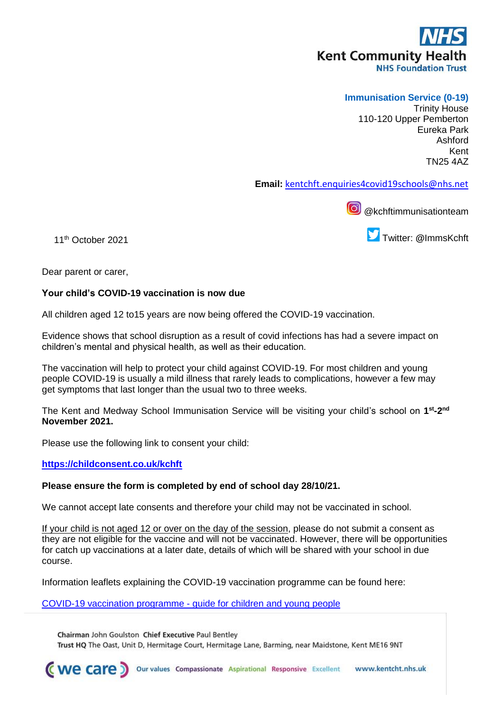# **Kent Community Health NHS Foundation Trust**

# **Immunisation Service (0-19)**

Trinity House 110-120 Upper Pemberton Eureka Park Ashford Kent TN25 4AZ

**Email:** [kentchft.enquiries4covid19schools@nhs.net](mailto:kentchft.enquiries4covid19schools@nhs.net)

**@** @kchftimmunisationteam

11th October 2021

Twitter: **@**ImmsKchft

Dear parent or carer,

## **Your child's COVID-19 vaccination is now due**

All children aged 12 to15 years are now being offered the COVID-19 vaccination.

Evidence shows that school disruption as a result of covid infections has had a severe impact on children's mental and physical health, as well as their education.

The vaccination will help to protect your child against COVID-19. For most children and young people COVID-19 is usually a mild illness that rarely leads to complications, however a few may get symptoms that last longer than the usual two to three weeks.

The Kent and Medway School Immunisation Service will be visiting your child's school on **1 st -2 nd November 2021.**

Please use the following link to consent your child:

## **<https://childconsent.co.uk/kchft>**

### **Please ensure the form is completed by end of school day 28/10/21.**

We cannot accept late consents and therefore your child may not be vaccinated in school.

If your child is not aged 12 or over on the day of the session, please do not submit a consent as they are not eligible for the vaccine and will not be vaccinated. However, there will be opportunities for catch up vaccinations at a later date, details of which will be shared with your school in due course.

Information leaflets explaining the COVID-19 vaccination programme can be found here:

[COVID-19 vaccination programme -](https://assets.publishing.service.gov.uk/government/uploads/system/uploads/attachment_data/file/1017171/PHE_12073_COVID-19_guide_for_all_CYP.pdf) guide for children and young people

Chairman John Goulston Chief Executive Paul Bentley

Trust HQ The Oast, Unit D, Hermitage Court, Hermitage Lane, Barming, near Maidstone, Kent ME16 9NT